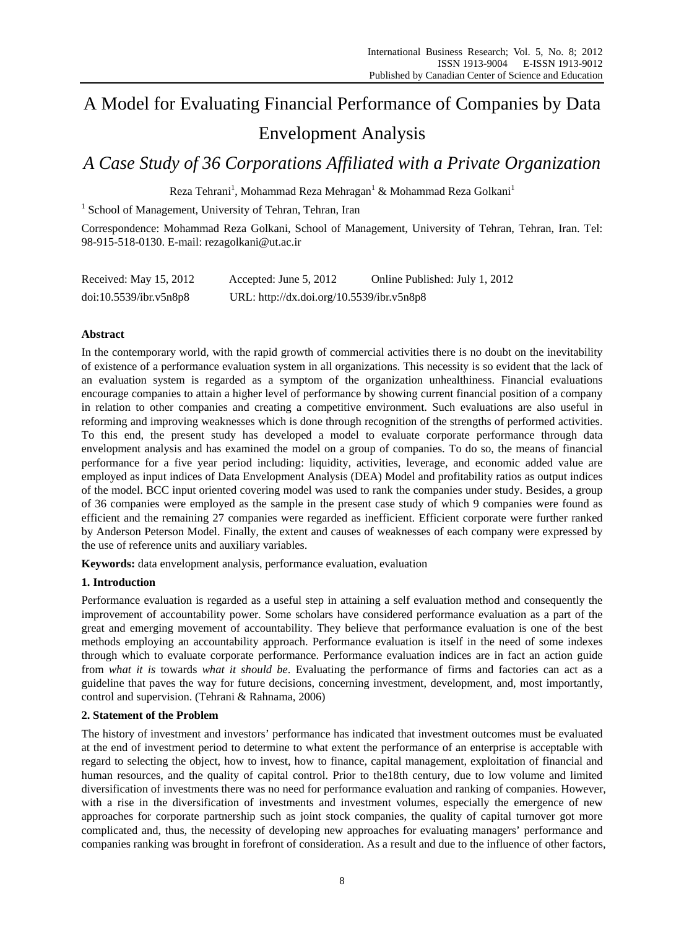# A Model for Evaluating Financial Performance of Companies by Data Envelopment Analysis

# *A Case Study of 36 Corporations Affiliated with a Private Organization*

Reza Tehrani $^{\rm l}$ , Mohammad Reza Mehragan $^{\rm l}$  & Mohammad Reza Golkani $^{\rm l}$ 

<sup>1</sup> School of Management, University of Tehran, Tehran, Iran

Correspondence: Mohammad Reza Golkani, School of Management, University of Tehran, Tehran, Iran. Tel: 98-915-518-0130. E-mail: rezagolkani@ut.ac.ir

| Received: May 15, 2012 | Accepted: June 5, 2012                    | Online Published: July 1, 2012 |
|------------------------|-------------------------------------------|--------------------------------|
| doi:10.5539/ibr.v5n8p8 | URL: http://dx.doi.org/10.5539/ibr.v5n8p8 |                                |

# **Abstract**

In the contemporary world, with the rapid growth of commercial activities there is no doubt on the inevitability of existence of a performance evaluation system in all organizations. This necessity is so evident that the lack of an evaluation system is regarded as a symptom of the organization unhealthiness. Financial evaluations encourage companies to attain a higher level of performance by showing current financial position of a company in relation to other companies and creating a competitive environment. Such evaluations are also useful in reforming and improving weaknesses which is done through recognition of the strengths of performed activities. To this end, the present study has developed a model to evaluate corporate performance through data envelopment analysis and has examined the model on a group of companies. To do so, the means of financial performance for a five year period including: liquidity, activities, leverage, and economic added value are employed as input indices of Data Envelopment Analysis (DEA) Model and profitability ratios as output indices of the model. BCC input oriented covering model was used to rank the companies under study. Besides, a group of 36 companies were employed as the sample in the present case study of which 9 companies were found as efficient and the remaining 27 companies were regarded as inefficient. Efficient corporate were further ranked by Anderson Peterson Model. Finally, the extent and causes of weaknesses of each company were expressed by the use of reference units and auxiliary variables.

**Keywords:** data envelopment analysis, performance evaluation, evaluation

# **1. Introduction**

Performance evaluation is regarded as a useful step in attaining a self evaluation method and consequently the improvement of accountability power. Some scholars have considered performance evaluation as a part of the great and emerging movement of accountability. They believe that performance evaluation is one of the best methods employing an accountability approach. Performance evaluation is itself in the need of some indexes through which to evaluate corporate performance. Performance evaluation indices are in fact an action guide from *what it is* towards *what it should be*. Evaluating the performance of firms and factories can act as a guideline that paves the way for future decisions, concerning investment, development, and, most importantly, control and supervision. (Tehrani & Rahnama, 2006)

# **2. Statement of the Problem**

The history of investment and investors' performance has indicated that investment outcomes must be evaluated at the end of investment period to determine to what extent the performance of an enterprise is acceptable with regard to selecting the object, how to invest, how to finance, capital management, exploitation of financial and human resources, and the quality of capital control. Prior to the18th century, due to low volume and limited diversification of investments there was no need for performance evaluation and ranking of companies. However, with a rise in the diversification of investments and investment volumes, especially the emergence of new approaches for corporate partnership such as joint stock companies, the quality of capital turnover got more complicated and, thus, the necessity of developing new approaches for evaluating managers' performance and companies ranking was brought in forefront of consideration. As a result and due to the influence of other factors,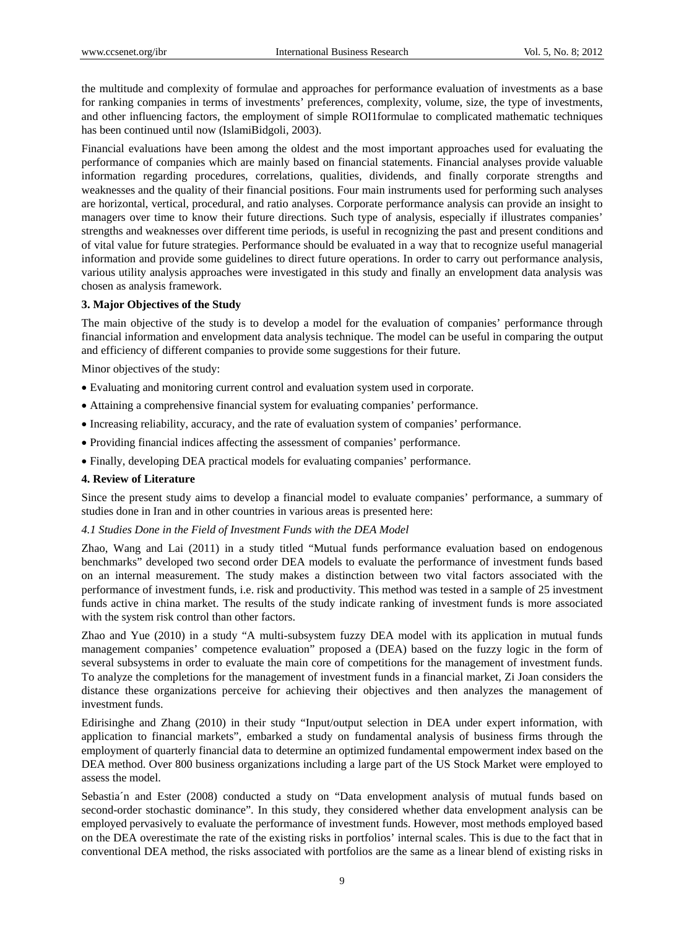the multitude and complexity of formulae and approaches for performance evaluation of investments as a base for ranking companies in terms of investments' preferences, complexity, volume, size, the type of investments, and other influencing factors, the employment of simple ROI1formulae to complicated mathematic techniques has been continued until now (IslamiBidgoli, 2003).

Financial evaluations have been among the oldest and the most important approaches used for evaluating the performance of companies which are mainly based on financial statements. Financial analyses provide valuable information regarding procedures, correlations, qualities, dividends, and finally corporate strengths and weaknesses and the quality of their financial positions. Four main instruments used for performing such analyses are horizontal, vertical, procedural, and ratio analyses. Corporate performance analysis can provide an insight to managers over time to know their future directions. Such type of analysis, especially if illustrates companies' strengths and weaknesses over different time periods, is useful in recognizing the past and present conditions and of vital value for future strategies. Performance should be evaluated in a way that to recognize useful managerial information and provide some guidelines to direct future operations. In order to carry out performance analysis, various utility analysis approaches were investigated in this study and finally an envelopment data analysis was chosen as analysis framework.

#### **3. Major Objectives of the Study**

The main objective of the study is to develop a model for the evaluation of companies' performance through financial information and envelopment data analysis technique. The model can be useful in comparing the output and efficiency of different companies to provide some suggestions for their future.

Minor objectives of the study:

- Evaluating and monitoring current control and evaluation system used in corporate.
- Attaining a comprehensive financial system for evaluating companies' performance.
- Increasing reliability, accuracy, and the rate of evaluation system of companies' performance.
- Providing financial indices affecting the assessment of companies' performance.
- Finally, developing DEA practical models for evaluating companies' performance.

## **4. Review of Literature**

Since the present study aims to develop a financial model to evaluate companies' performance, a summary of studies done in Iran and in other countries in various areas is presented here:

#### *4.1 Studies Done in the Field of Investment Funds with the DEA Model*

Zhao, Wang and Lai (2011) in a study titled "Mutual funds performance evaluation based on endogenous benchmarks" developed two second order DEA models to evaluate the performance of investment funds based on an internal measurement. The study makes a distinction between two vital factors associated with the performance of investment funds, i.e. risk and productivity. This method was tested in a sample of 25 investment funds active in china market. The results of the study indicate ranking of investment funds is more associated with the system risk control than other factors.

Zhao and Yue (2010) in a study "A multi-subsystem fuzzy DEA model with its application in mutual funds management companies' competence evaluation" proposed a (DEA) based on the fuzzy logic in the form of several subsystems in order to evaluate the main core of competitions for the management of investment funds. To analyze the completions for the management of investment funds in a financial market, Zi Joan considers the distance these organizations perceive for achieving their objectives and then analyzes the management of investment funds.

Edirisinghe and Zhang (2010) in their study "Input/output selection in DEA under expert information, with application to financial markets", embarked a study on fundamental analysis of business firms through the employment of quarterly financial data to determine an optimized fundamental empowerment index based on the DEA method. Over 800 business organizations including a large part of the US Stock Market were employed to assess the model.

Sebastia´n and Ester (2008) conducted a study on "Data envelopment analysis of mutual funds based on second-order stochastic dominance". In this study, they considered whether data envelopment analysis can be employed pervasively to evaluate the performance of investment funds. However, most methods employed based on the DEA overestimate the rate of the existing risks in portfolios' internal scales. This is due to the fact that in conventional DEA method, the risks associated with portfolios are the same as a linear blend of existing risks in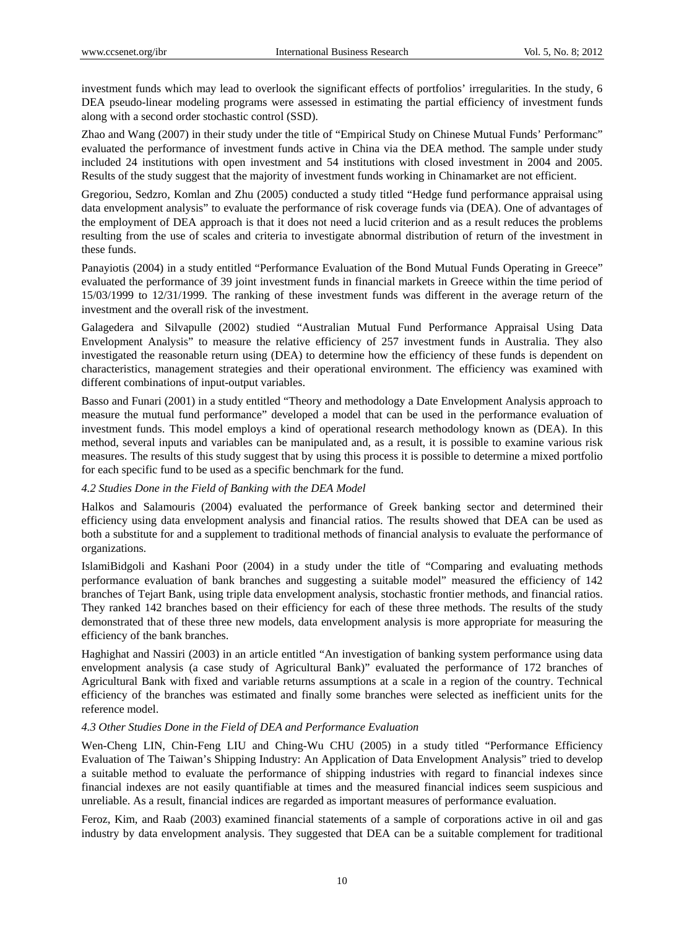investment funds which may lead to overlook the significant effects of portfolios' irregularities. In the study, 6 DEA pseudo-linear modeling programs were assessed in estimating the partial efficiency of investment funds along with a second order stochastic control (SSD).

Zhao and Wang (2007) in their study under the title of "Empirical Study on Chinese Mutual Funds' Performanc" evaluated the performance of investment funds active in China via the DEA method. The sample under study included 24 institutions with open investment and 54 institutions with closed investment in 2004 and 2005. Results of the study suggest that the majority of investment funds working in Chinamarket are not efficient.

Gregoriou, Sedzro, Komlan and Zhu (2005) conducted a study titled "Hedge fund performance appraisal using data envelopment analysis" to evaluate the performance of risk coverage funds via (DEA). One of advantages of the employment of DEA approach is that it does not need a lucid criterion and as a result reduces the problems resulting from the use of scales and criteria to investigate abnormal distribution of return of the investment in these funds.

Panayiotis (2004) in a study entitled "Performance Evaluation of the Bond Mutual Funds Operating in Greece" evaluated the performance of 39 joint investment funds in financial markets in Greece within the time period of 15/03/1999 to 12/31/1999. The ranking of these investment funds was different in the average return of the investment and the overall risk of the investment.

Galagedera and Silvapulle (2002) studied "Australian Mutual Fund Performance Appraisal Using Data Envelopment Analysis" to measure the relative efficiency of 257 investment funds in Australia. They also investigated the reasonable return using (DEA) to determine how the efficiency of these funds is dependent on characteristics, management strategies and their operational environment. The efficiency was examined with different combinations of input-output variables.

Basso and Funari (2001) in a study entitled "Theory and methodology a Date Envelopment Analysis approach to measure the mutual fund performance" developed a model that can be used in the performance evaluation of investment funds. This model employs a kind of operational research methodology known as (DEA). In this method, several inputs and variables can be manipulated and, as a result, it is possible to examine various risk measures. The results of this study suggest that by using this process it is possible to determine a mixed portfolio for each specific fund to be used as a specific benchmark for the fund.

# *4.2 Studies Done in the Field of Banking with the DEA Model*

Halkos and Salamouris (2004) evaluated the performance of Greek banking sector and determined their efficiency using data envelopment analysis and financial ratios. The results showed that DEA can be used as both a substitute for and a supplement to traditional methods of financial analysis to evaluate the performance of organizations.

IslamiBidgoli and Kashani Poor (2004) in a study under the title of "Comparing and evaluating methods performance evaluation of bank branches and suggesting a suitable model" measured the efficiency of 142 branches of Tejart Bank, using triple data envelopment analysis, stochastic frontier methods, and financial ratios. They ranked 142 branches based on their efficiency for each of these three methods. The results of the study demonstrated that of these three new models, data envelopment analysis is more appropriate for measuring the efficiency of the bank branches.

Haghighat and Nassiri (2003) in an article entitled "An investigation of banking system performance using data envelopment analysis (a case study of Agricultural Bank)" evaluated the performance of 172 branches of Agricultural Bank with fixed and variable returns assumptions at a scale in a region of the country. Technical efficiency of the branches was estimated and finally some branches were selected as inefficient units for the reference model.

#### *4.3 Other Studies Done in the Field of DEA and Performance Evaluation*

Wen-Cheng LIN, Chin-Feng LIU and Ching-Wu CHU (2005) in a study titled "Performance Efficiency Evaluation of The Taiwan's Shipping Industry: An Application of Data Envelopment Analysis" tried to develop a suitable method to evaluate the performance of shipping industries with regard to financial indexes since financial indexes are not easily quantifiable at times and the measured financial indices seem suspicious and unreliable. As a result, financial indices are regarded as important measures of performance evaluation.

Feroz, Kim, and Raab (2003) examined financial statements of a sample of corporations active in oil and gas industry by data envelopment analysis. They suggested that DEA can be a suitable complement for traditional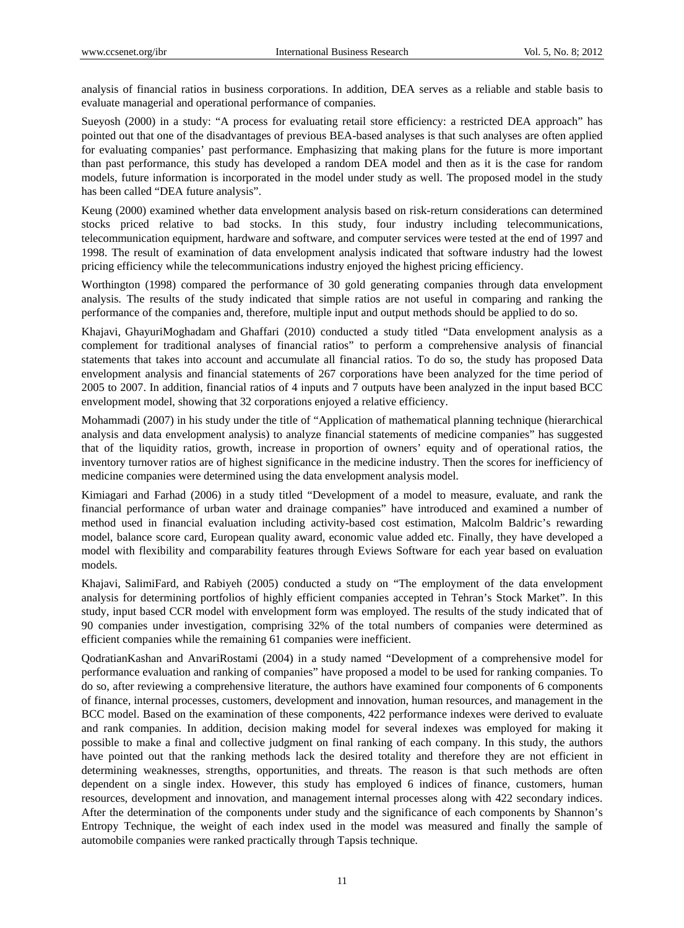analysis of financial ratios in business corporations. In addition, DEA serves as a reliable and stable basis to evaluate managerial and operational performance of companies.

Sueyosh (2000) in a study: "A process for evaluating retail store efficiency: a restricted DEA approach" has pointed out that one of the disadvantages of previous BEA-based analyses is that such analyses are often applied for evaluating companies' past performance. Emphasizing that making plans for the future is more important than past performance, this study has developed a random DEA model and then as it is the case for random models, future information is incorporated in the model under study as well. The proposed model in the study has been called "DEA future analysis".

Keung (2000) examined whether data envelopment analysis based on risk-return considerations can determined stocks priced relative to bad stocks. In this study, four industry including telecommunications, telecommunication equipment, hardware and software, and computer services were tested at the end of 1997 and 1998. The result of examination of data envelopment analysis indicated that software industry had the lowest pricing efficiency while the telecommunications industry enjoyed the highest pricing efficiency.

Worthington (1998) compared the performance of 30 gold generating companies through data envelopment analysis. The results of the study indicated that simple ratios are not useful in comparing and ranking the performance of the companies and, therefore, multiple input and output methods should be applied to do so.

Khajavi, GhayuriMoghadam and Ghaffari (2010) conducted a study titled "Data envelopment analysis as a complement for traditional analyses of financial ratios" to perform a comprehensive analysis of financial statements that takes into account and accumulate all financial ratios. To do so, the study has proposed Data envelopment analysis and financial statements of 267 corporations have been analyzed for the time period of 2005 to 2007. In addition, financial ratios of 4 inputs and 7 outputs have been analyzed in the input based BCC envelopment model, showing that 32 corporations enjoyed a relative efficiency.

Mohammadi (2007) in his study under the title of "Application of mathematical planning technique (hierarchical analysis and data envelopment analysis) to analyze financial statements of medicine companies" has suggested that of the liquidity ratios, growth, increase in proportion of owners' equity and of operational ratios, the inventory turnover ratios are of highest significance in the medicine industry. Then the scores for inefficiency of medicine companies were determined using the data envelopment analysis model.

Kimiagari and Farhad (2006) in a study titled "Development of a model to measure, evaluate, and rank the financial performance of urban water and drainage companies" have introduced and examined a number of method used in financial evaluation including activity-based cost estimation, Malcolm Baldric's rewarding model, balance score card, European quality award, economic value added etc. Finally, they have developed a model with flexibility and comparability features through Eviews Software for each year based on evaluation models.

Khajavi, SalimiFard, and Rabiyeh (2005) conducted a study on "The employment of the data envelopment analysis for determining portfolios of highly efficient companies accepted in Tehran's Stock Market". In this study, input based CCR model with envelopment form was employed. The results of the study indicated that of 90 companies under investigation, comprising 32% of the total numbers of companies were determined as efficient companies while the remaining 61 companies were inefficient.

QodratianKashan and AnvariRostami (2004) in a study named "Development of a comprehensive model for performance evaluation and ranking of companies" have proposed a model to be used for ranking companies. To do so, after reviewing a comprehensive literature, the authors have examined four components of 6 components of finance, internal processes, customers, development and innovation, human resources, and management in the BCC model. Based on the examination of these components, 422 performance indexes were derived to evaluate and rank companies. In addition, decision making model for several indexes was employed for making it possible to make a final and collective judgment on final ranking of each company. In this study, the authors have pointed out that the ranking methods lack the desired totality and therefore they are not efficient in determining weaknesses, strengths, opportunities, and threats. The reason is that such methods are often dependent on a single index. However, this study has employed 6 indices of finance, customers, human resources, development and innovation, and management internal processes along with 422 secondary indices. After the determination of the components under study and the significance of each components by Shannon's Entropy Technique, the weight of each index used in the model was measured and finally the sample of automobile companies were ranked practically through Tapsis technique.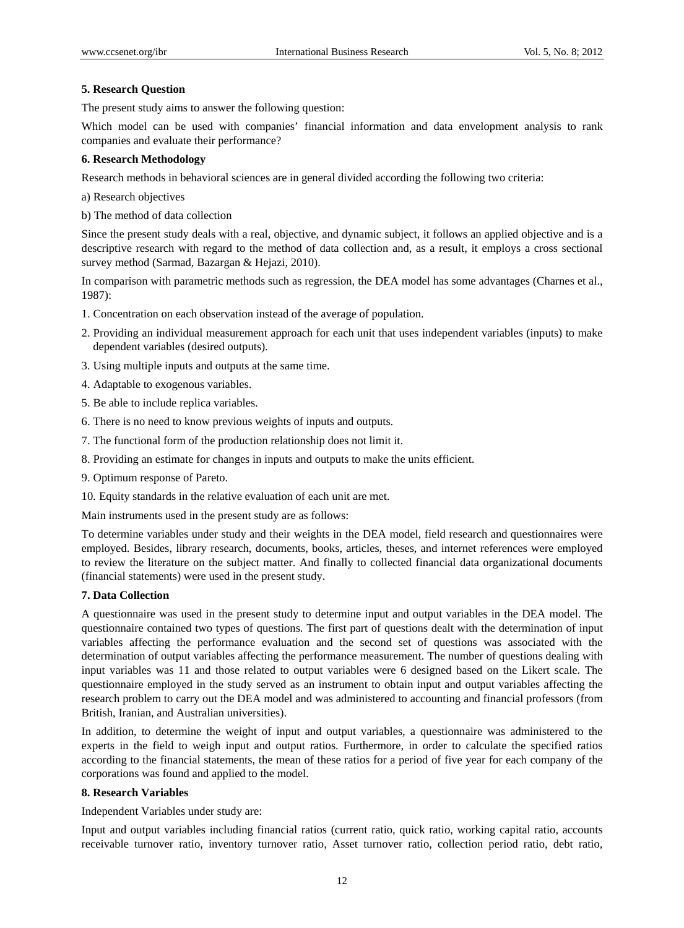# **5. Research Question**

The present study aims to answer the following question:

Which model can be used with companies' financial information and data envelopment analysis to rank companies and evaluate their performance?

# **6. Research Methodology**

Research methods in behavioral sciences are in general divided according the following two criteria:

- a) Research objectives
- b) The method of data collection

Since the present study deals with a real, objective, and dynamic subject, it follows an applied objective and is a descriptive research with regard to the method of data collection and, as a result, it employs a cross sectional survey method (Sarmad, Bazargan & Hejazi, 2010).

In comparison with parametric methods such as regression, the DEA model has some advantages (Charnes et al., 1987):

- 1. Concentration on each observation instead of the average of population.
- 2. Providing an individual measurement approach for each unit that uses independent variables (inputs) to make dependent variables (desired outputs).
- 3. Using multiple inputs and outputs at the same time.
- 4. Adaptable to exogenous variables.
- 5. Be able to include replica variables.
- 6. There is no need to know previous weights of inputs and outputs.
- 7. The functional form of the production relationship does not limit it.
- 8. Providing an estimate for changes in inputs and outputs to make the units efficient.
- 9. Optimum response of Pareto.
- 10. Equity standards in the relative evaluation of each unit are met.

Main instruments used in the present study are as follows:

To determine variables under study and their weights in the DEA model, field research and questionnaires were employed. Besides, library research, documents, books, articles, theses, and internet references were employed to review the literature on the subject matter. And finally to collected financial data organizational documents (financial statements) were used in the present study.

# **7. Data Collection**

A questionnaire was used in the present study to determine input and output variables in the DEA model. The questionnaire contained two types of questions. The first part of questions dealt with the determination of input variables affecting the performance evaluation and the second set of questions was associated with the determination of output variables affecting the performance measurement. The number of questions dealing with input variables was 11 and those related to output variables were 6 designed based on the Likert scale. The questionnaire employed in the study served as an instrument to obtain input and output variables affecting the research problem to carry out the DEA model and was administered to accounting and financial professors (from British, Iranian, and Australian universities).

In addition, to determine the weight of input and output variables, a questionnaire was administered to the experts in the field to weigh input and output ratios. Furthermore, in order to calculate the specified ratios according to the financial statements, the mean of these ratios for a period of five year for each company of the corporations was found and applied to the model.

# **8. Research Variables**

Independent Variables under study are:

Input and output variables including financial ratios (current ratio, quick ratio, working capital ratio, accounts receivable turnover ratio, inventory turnover ratio, Asset turnover ratio, collection period ratio, debt ratio,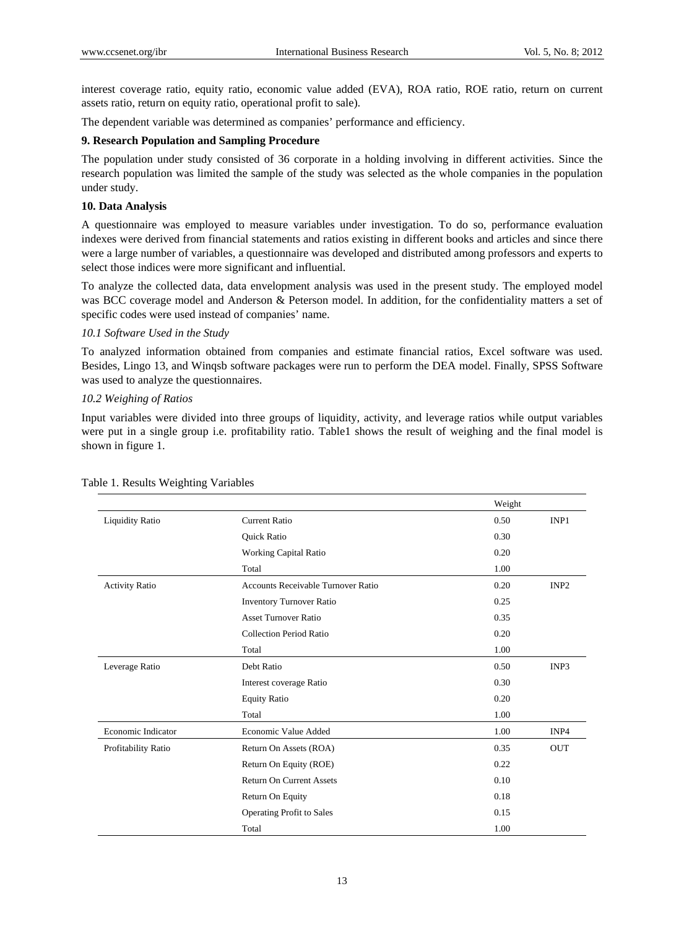interest coverage ratio, equity ratio, economic value added (EVA), ROA ratio, ROE ratio, return on current assets ratio, return on equity ratio, operational profit to sale).

The dependent variable was determined as companies' performance and efficiency.

## **9. Research Population and Sampling Procedure**

The population under study consisted of 36 corporate in a holding involving in different activities. Since the research population was limited the sample of the study was selected as the whole companies in the population under study.

## **10. Data Analysis**

A questionnaire was employed to measure variables under investigation. To do so, performance evaluation indexes were derived from financial statements and ratios existing in different books and articles and since there were a large number of variables, a questionnaire was developed and distributed among professors and experts to select those indices were more significant and influential.

To analyze the collected data, data envelopment analysis was used in the present study. The employed model was BCC coverage model and Anderson & Peterson model. In addition, for the confidentiality matters a set of specific codes were used instead of companies' name.

# *10.1 Software Used in the Study*

To analyzed information obtained from companies and estimate financial ratios, Excel software was used. Besides, Lingo 13, and Winqsb software packages were run to perform the DEA model. Finally, SPSS Software was used to analyze the questionnaires.

## *10.2 Weighing of Ratios*

Input variables were divided into three groups of liquidity, activity, and leverage ratios while output variables were put in a single group i.e. profitability ratio. Table1 shows the result of weighing and the final model is shown in figure 1.

|                        |                                           | Weight |                  |
|------------------------|-------------------------------------------|--------|------------------|
| <b>Liquidity Ratio</b> | <b>Current Ratio</b>                      | 0.50   | INP1             |
|                        | Quick Ratio                               | 0.30   |                  |
|                        | <b>Working Capital Ratio</b>              | 0.20   |                  |
|                        | Total                                     | 1.00   |                  |
| <b>Activity Ratio</b>  | <b>Accounts Receivable Turnover Ratio</b> | 0.20   | INP <sub>2</sub> |
|                        | <b>Inventory Turnover Ratio</b>           | 0.25   |                  |
|                        | <b>Asset Turnover Ratio</b>               | 0.35   |                  |
|                        | <b>Collection Period Ratio</b>            | 0.20   |                  |
|                        | Total                                     | 1.00   |                  |
| Leverage Ratio         | Debt Ratio                                | 0.50   | INP3             |
|                        | Interest coverage Ratio                   | 0.30   |                  |
|                        | <b>Equity Ratio</b>                       | 0.20   |                  |
|                        | Total                                     | 1.00   |                  |
| Economic Indicator     | Economic Value Added                      | 1.00   | INP4             |
| Profitability Ratio    | Return On Assets (ROA)                    | 0.35   | <b>OUT</b>       |
|                        | Return On Equity (ROE)                    | 0.22   |                  |
|                        | <b>Return On Current Assets</b>           | 0.10   |                  |
|                        | Return On Equity                          | 0.18   |                  |
|                        | <b>Operating Profit to Sales</b>          | 0.15   |                  |
|                        | Total                                     | 1.00   |                  |

#### Table 1. Results Weighting Variables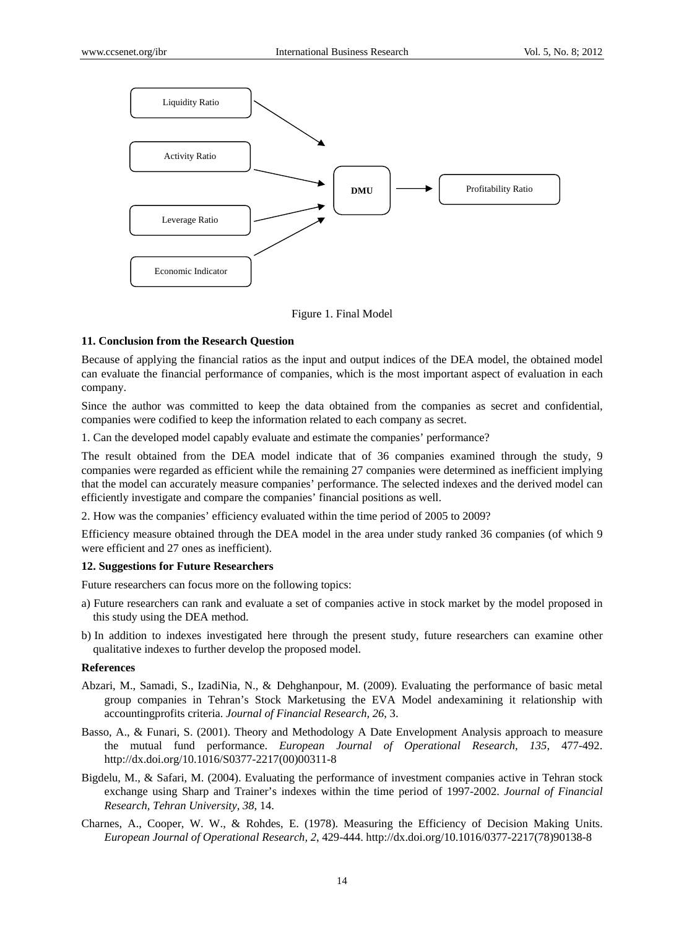

Figure 1. Final Model

#### **11. Conclusion from the Research Question**

Because of applying the financial ratios as the input and output indices of the DEA model, the obtained model can evaluate the financial performance of companies, which is the most important aspect of evaluation in each company.

Since the author was committed to keep the data obtained from the companies as secret and confidential, companies were codified to keep the information related to each company as secret.

1. Can the developed model capably evaluate and estimate the companies' performance?

The result obtained from the DEA model indicate that of 36 companies examined through the study, 9 companies were regarded as efficient while the remaining 27 companies were determined as inefficient implying that the model can accurately measure companies' performance. The selected indexes and the derived model can efficiently investigate and compare the companies' financial positions as well.

2. How was the companies' efficiency evaluated within the time period of 2005 to 2009?

Efficiency measure obtained through the DEA model in the area under study ranked 36 companies (of which 9 were efficient and 27 ones as inefficient).

#### **12. Suggestions for Future Researchers**

Future researchers can focus more on the following topics:

- a) Future researchers can rank and evaluate a set of companies active in stock market by the model proposed in this study using the DEA method.
- b) In addition to indexes investigated here through the present study, future researchers can examine other qualitative indexes to further develop the proposed model.

#### **References**

- Abzari, M., Samadi, S., IzadiNia, N., & Dehghanpour, M. (2009). Evaluating the performance of basic metal group companies in Tehran's Stock Marketusing the EVA Model andexamining it relationship with accountingprofits criteria. *Journal of Financial Research, 26*, 3.
- Basso, A., & Funari, S. (2001). Theory and Methodology A Date Envelopment Analysis approach to measure the mutual fund performance. *European Journal of Operational Research, 135*, 477-492. http://dx.doi.org/10.1016/S0377-2217(00)00311-8
- Bigdelu, M., & Safari, M. (2004). Evaluating the performance of investment companies active in Tehran stock exchange using Sharp and Trainer's indexes within the time period of 1997-2002. *Journal of Financial Research, Tehran University, 38*, 14.
- Charnes, A., Cooper, W. W., & Rohdes, E. (1978). Measuring the Efficiency of Decision Making Units. *European Journal of Operational Research, 2*, 429-444. http://dx.doi.org/10.1016/0377-2217(78)90138-8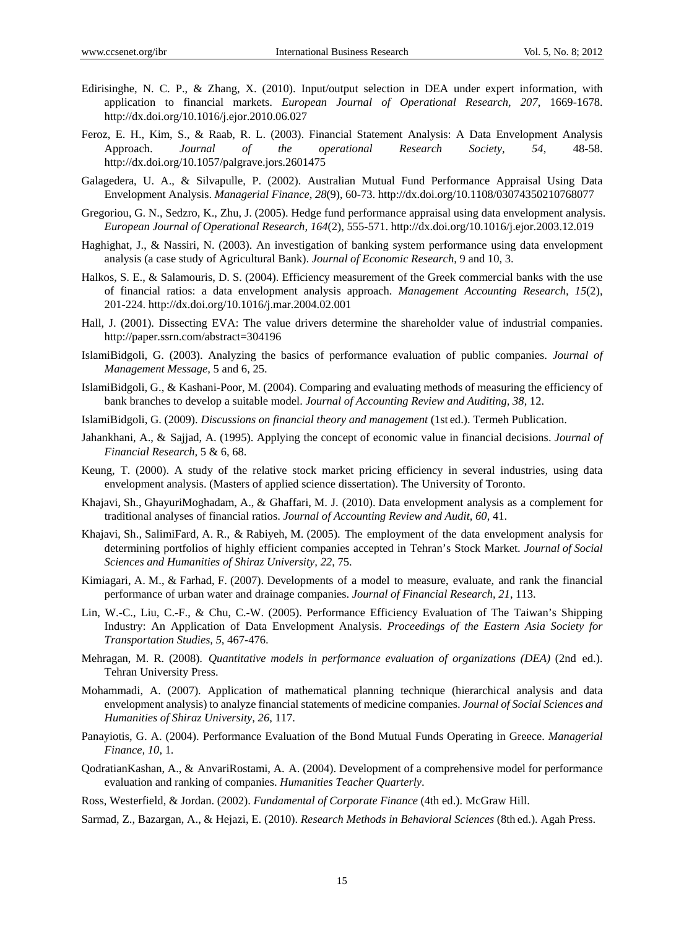- Edirisinghe, N. C. P., & Zhang, X. (2010). Input/output selection in DEA under expert information, with application to financial markets. *European Journal of Operational Research, 207*, 1669-1678. http://dx.doi.org/10.1016/j.ejor.2010.06.027
- Feroz, E. H., Kim, S., & Raab, R. L. (2003). Financial Statement Analysis: A Data Envelopment Analysis Approach. *Journal of the operational Research Society, 54*, 48-58. http://dx.doi.org/10.1057/palgrave.jors.2601475
- Galagedera, U. A., & Silvapulle, P. (2002). Australian Mutual Fund Performance Appraisal Using Data Envelopment Analysis. *Managerial Finance, 28*(9), 60-73. http://dx.doi.org/10.1108/03074350210768077
- Gregoriou, G. N., Sedzro, K., Zhu, J. (2005). Hedge fund performance appraisal using data envelopment analysis. *European Journal of Operational Research, 164*(2), 555-571. http://dx.doi.org/10.1016/j.ejor.2003.12.019
- Haghighat, J., & Nassiri, N. (2003). An investigation of banking system performance using data envelopment analysis (a case study of Agricultural Bank). *Journal of Economic Research*, 9 and 10, 3.
- Halkos, S. E., & Salamouris, D. S. (2004). Efficiency measurement of the Greek commercial banks with the use of financial ratios: a data envelopment analysis approach. *Management Accounting Research, 15*(2), 201-224. http://dx.doi.org/10.1016/j.mar.2004.02.001
- Hall, J. (2001). Dissecting EVA: The value drivers determine the shareholder value of industrial companies. http://paper.ssrn.com/abstract=304196
- IslamiBidgoli, G. (2003). Analyzing the basics of performance evaluation of public companies. *Journal of Management Message,* 5 and 6, 25.
- IslamiBidgoli, G., & Kashani-Poor, M. (2004). Comparing and evaluating methods of measuring the efficiency of bank branches to develop a suitable model. *Journal of Accounting Review and Auditing, 38*, 12.
- IslamiBidgoli, G. (2009). *Discussions on financial theory and management* (1st ed.). Termeh Publication.
- Jahankhani, A., & Sajjad, A. (1995). Applying the concept of economic value in financial decisions. *Journal of Financial Research,* 5 & 6, 68.
- Keung, T. (2000). A study of the relative stock market pricing efficiency in several industries, using data envelopment analysis. (Masters of applied science dissertation). The University of Toronto.
- Khajavi, Sh., GhayuriMoghadam, A., & Ghaffari, M. J. (2010). Data envelopment analysis as a complement for traditional analyses of financial ratios. *Journal of Accounting Review and Audit, 60*, 41.
- Khajavi, Sh., SalimiFard, A. R., & Rabiyeh, M. (2005). The employment of the data envelopment analysis for determining portfolios of highly efficient companies accepted in Tehran's Stock Market. *Journal of Social Sciences and Humanities of Shiraz University, 22*, 75.
- Kimiagari, A. M., & Farhad, F. (2007). Developments of a model to measure, evaluate, and rank the financial performance of urban water and drainage companies. *Journal of Financial Research, 21*, 113.
- Lin, W.-C., Liu, C.-F., & Chu, C.-W. (2005). Performance Efficiency Evaluation of The Taiwan's Shipping Industry: An Application of Data Envelopment Analysis. *Proceedings of the Eastern Asia Society for Transportation Studies, 5*, 467-476.
- Mehragan, M. R. (2008). *Quantitative models in performance evaluation of organizations (DEA)* (2nd ed.). Tehran University Press.
- Mohammadi, A. (2007). Application of mathematical planning technique (hierarchical analysis and data envelopment analysis) to analyze financial statements of medicine companies. *Journal of Social Sciences and Humanities of Shiraz University, 26*, 117.
- Panayiotis, G. A. (2004). Performance Evaluation of the Bond Mutual Funds Operating in Greece. *Managerial Finance, 10*, 1.
- QodratianKashan, A., & AnvariRostami, A. A. (2004). Development of a comprehensive model for performance evaluation and ranking of companies. *Humanities Teacher Quarterly*.

Ross, Westerfield, & Jordan. (2002). *Fundamental of Corporate Finance* (4th ed.). McGraw Hill.

Sarmad, Z., Bazargan, A., & Hejazi, E. (2010). *Research Methods in Behavioral Sciences* (8th ed.). Agah Press.